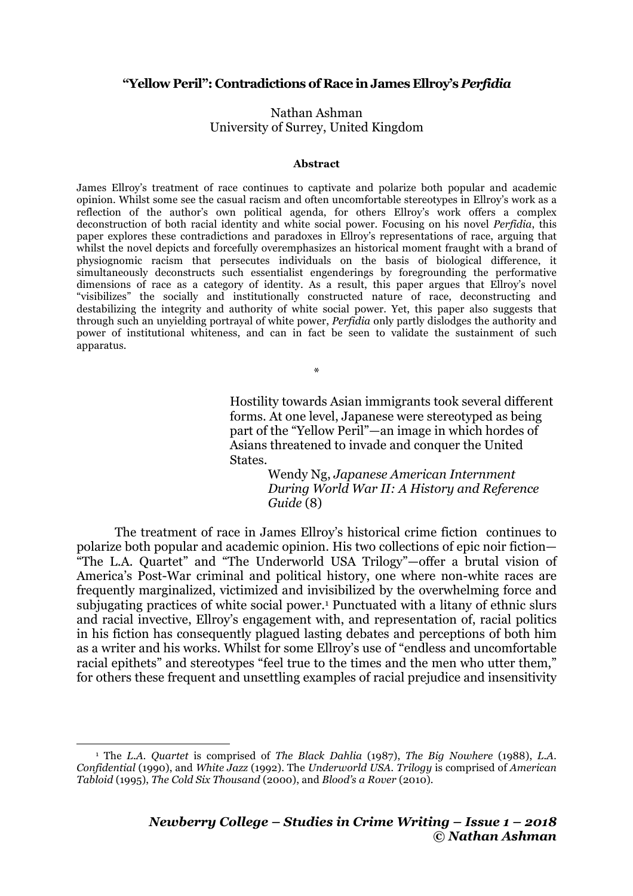## **"Yellow Peril": Contradictions of Race in James Ellroy's** *Perfidia*

## Nathan Ashman University of Surrey, United Kingdom

## **Abstract**

James Ellroy's treatment of race continues to captivate and polarize both popular and academic opinion. Whilst some see the casual racism and often uncomfortable stereotypes in Ellroy's work as a reflection of the author's own political agenda, for others Ellroy's work offers a complex deconstruction of both racial identity and white social power. Focusing on his novel *Perfidia*, this paper explores these contradictions and paradoxes in Ellroy's representations of race, arguing that whilst the novel depicts and forcefully overemphasizes an historical moment fraught with a brand of physiognomic racism that persecutes individuals on the basis of biological difference, it simultaneously deconstructs such essentialist engenderings by foregrounding the performative dimensions of race as a category of identity. As a result, this paper argues that Ellroy's novel "visibilizes" the socially and institutionally constructed nature of race, deconstructing and destabilizing the integrity and authority of white social power. Yet, this paper also suggests that through such an unyielding portrayal of white power, *Perfidia* only partly dislodges the authority and power of institutional whiteness, and can in fact be seen to validate the sustainment of such apparatus.

\*

Hostility towards Asian immigrants took several different forms. At one level, Japanese were stereotyped as being part of the "Yellow Peril"—an image in which hordes of Asians threatened to invade and conquer the United States.

> Wendy Ng, *Japanese American Internment During World War II: A History and Reference Guide* (8)

The treatment of race in James Ellroy's historical crime fiction continues to polarize both popular and academic opinion. His two collections of epic noir fiction— "The L.A. Quartet" and "The Underworld USA Trilogy"—offer a brutal vision of America's Post-War criminal and political history, one where non-white races are frequently marginalized, victimized and invisibilized by the overwhelming force and subjugating practices of white social power.1 Punctuated with a litany of ethnic slurs and racial invective, Ellroy's engagement with, and representation of, racial politics in his fiction has consequently plagued lasting debates and perceptions of both him as a writer and his works. Whilst for some Ellroy's use of "endless and uncomfortable racial epithets" and stereotypes "feel true to the times and the men who utter them," for others these frequent and unsettling examples of racial prejudice and insensitivity

 

<sup>1</sup> The *L.A. Quartet* is comprised of *The Black Dahlia* (1987), *The Big Nowhere* (1988), *L.A. Confidential* (1990), and *White Jazz* (1992). The *Underworld USA. Trilogy* is comprised of *American Tabloid* (1995), *The Cold Six Thousand* (2000), and *Blood's a Rover* (2010).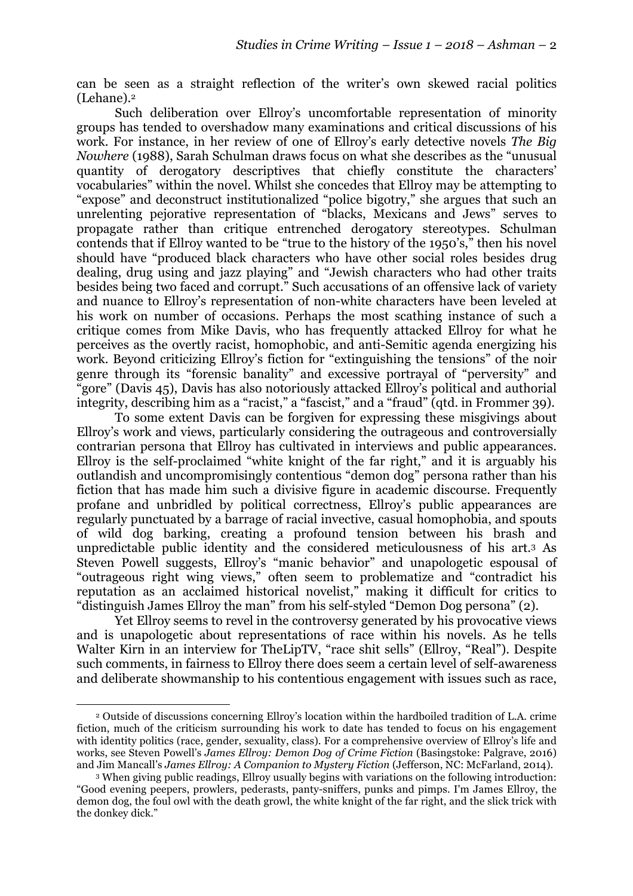can be seen as a straight reflection of the writer's own skewed racial politics (Lehane).2

Such deliberation over Ellroy's uncomfortable representation of minority groups has tended to overshadow many examinations and critical discussions of his work. For instance, in her review of one of Ellroy's early detective novels *The Big Nowhere* (1988), Sarah Schulman draws focus on what she describes as the "unusual quantity of derogatory descriptives that chiefly constitute the characters' vocabularies" within the novel. Whilst she concedes that Ellroy may be attempting to "expose" and deconstruct institutionalized "police bigotry," she argues that such an unrelenting pejorative representation of "blacks, Mexicans and Jews" serves to propagate rather than critique entrenched derogatory stereotypes. Schulman contends that if Ellroy wanted to be "true to the history of the 1950's," then his novel should have "produced black characters who have other social roles besides drug dealing, drug using and jazz playing" and "Jewish characters who had other traits besides being two faced and corrupt." Such accusations of an offensive lack of variety and nuance to Ellroy's representation of non-white characters have been leveled at his work on number of occasions. Perhaps the most scathing instance of such a critique comes from Mike Davis, who has frequently attacked Ellroy for what he perceives as the overtly racist, homophobic, and anti-Semitic agenda energizing his work. Beyond criticizing Ellroy's fiction for "extinguishing the tensions" of the noir genre through its "forensic banality" and excessive portrayal of "perversity" and "gore" (Davis 45), Davis has also notoriously attacked Ellroy's political and authorial integrity, describing him as a "racist," a "fascist," and a "fraud" (qtd. in Frommer 39).

To some extent Davis can be forgiven for expressing these misgivings about Ellroy's work and views, particularly considering the outrageous and controversially contrarian persona that Ellroy has cultivated in interviews and public appearances. Ellroy is the self-proclaimed "white knight of the far right," and it is arguably his outlandish and uncompromisingly contentious "demon dog" persona rather than his fiction that has made him such a divisive figure in academic discourse. Frequently profane and unbridled by political correctness, Ellroy's public appearances are regularly punctuated by a barrage of racial invective, casual homophobia, and spouts of wild dog barking, creating a profound tension between his brash and unpredictable public identity and the considered meticulousness of his art.3 As Steven Powell suggests, Ellroy's "manic behavior" and unapologetic espousal of "outrageous right wing views," often seem to problematize and "contradict his reputation as an acclaimed historical novelist," making it difficult for critics to "distinguish James Ellroy the man" from his self-styled "Demon Dog persona" (2).

Yet Ellroy seems to revel in the controversy generated by his provocative views and is unapologetic about representations of race within his novels. As he tells Walter Kirn in an interview for TheLipTV, "race shit sells" (Ellroy, "Real"). Despite such comments, in fairness to Ellroy there does seem a certain level of self-awareness and deliberate showmanship to his contentious engagement with issues such as race,

<u> 1989 - Johann Stein, fransk politik (d. 1989)</u>

<sup>2</sup> Outside of discussions concerning Ellroy's location within the hardboiled tradition of L.A. crime fiction, much of the criticism surrounding his work to date has tended to focus on his engagement with identity politics (race, gender, sexuality, class). For a comprehensive overview of Ellroy's life and works, see Steven Powell's *James Ellroy: Demon Dog of Crime Fiction* (Basingstoke: Palgrave, 2016) and Jim Mancall's *James Ellroy: A Companion to Mystery Fiction* (Jefferson, NC: McFarland, 2014).

<sup>3</sup> When giving public readings, Ellroy usually begins with variations on the following introduction: "Good evening peepers, prowlers, pederasts, panty-sniffers, punks and pimps. I'm James Ellroy, the demon dog, the foul owl with the death growl, the white knight of the far right, and the slick trick with the donkey dick."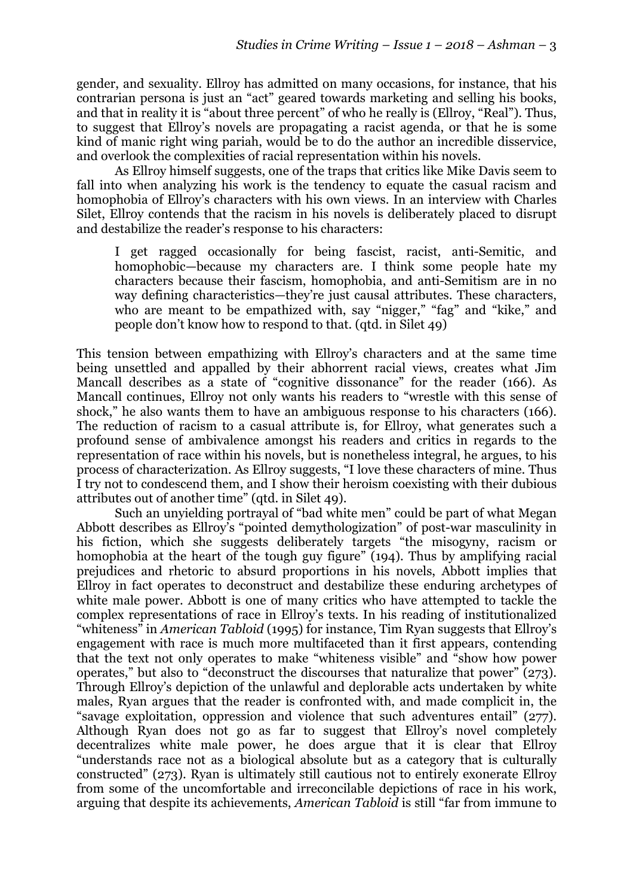gender, and sexuality. Ellroy has admitted on many occasions, for instance, that his contrarian persona is just an "act" geared towards marketing and selling his books, and that in reality it is "about three percent" of who he really is (Ellroy, "Real"). Thus, to suggest that Ellroy's novels are propagating a racist agenda, or that he is some kind of manic right wing pariah, would be to do the author an incredible disservice, and overlook the complexities of racial representation within his novels.

As Ellroy himself suggests, one of the traps that critics like Mike Davis seem to fall into when analyzing his work is the tendency to equate the casual racism and homophobia of Ellroy's characters with his own views. In an interview with Charles Silet, Ellroy contends that the racism in his novels is deliberately placed to disrupt and destabilize the reader's response to his characters:

I get ragged occasionally for being fascist, racist, anti-Semitic, and homophobic—because my characters are. I think some people hate my characters because their fascism, homophobia, and anti-Semitism are in no way defining characteristics—they're just causal attributes. These characters, who are meant to be empathized with, say "nigger," "fag" and "kike," and people don't know how to respond to that. (qtd. in Silet 49)

This tension between empathizing with Ellroy's characters and at the same time being unsettled and appalled by their abhorrent racial views, creates what Jim Mancall describes as a state of "cognitive dissonance" for the reader (166). As Mancall continues, Ellroy not only wants his readers to "wrestle with this sense of shock," he also wants them to have an ambiguous response to his characters (166). The reduction of racism to a casual attribute is, for Ellroy, what generates such a profound sense of ambivalence amongst his readers and critics in regards to the representation of race within his novels, but is nonetheless integral, he argues, to his process of characterization. As Ellroy suggests, "I love these characters of mine. Thus I try not to condescend them, and I show their heroism coexisting with their dubious attributes out of another time" (qtd. in Silet 49).

Such an unyielding portrayal of "bad white men" could be part of what Megan Abbott describes as Ellroy's "pointed demythologization" of post-war masculinity in his fiction, which she suggests deliberately targets "the misogyny, racism or homophobia at the heart of the tough guy figure" (194). Thus by amplifying racial prejudices and rhetoric to absurd proportions in his novels, Abbott implies that Ellroy in fact operates to deconstruct and destabilize these enduring archetypes of white male power. Abbott is one of many critics who have attempted to tackle the complex representations of race in Ellroy's texts. In his reading of institutionalized "whiteness" in *American Tabloid* (1995) for instance, Tim Ryan suggests that Ellroy's engagement with race is much more multifaceted than it first appears, contending that the text not only operates to make "whiteness visible" and "show how power operates," but also to "deconstruct the discourses that naturalize that power" (273). Through Ellroy's depiction of the unlawful and deplorable acts undertaken by white males, Ryan argues that the reader is confronted with, and made complicit in, the "savage exploitation, oppression and violence that such adventures entail" (277). Although Ryan does not go as far to suggest that Ellroy's novel completely decentralizes white male power, he does argue that it is clear that Ellroy "understands race not as a biological absolute but as a category that is culturally constructed" (273). Ryan is ultimately still cautious not to entirely exonerate Ellroy from some of the uncomfortable and irreconcilable depictions of race in his work, arguing that despite its achievements, *American Tabloid* is still "far from immune to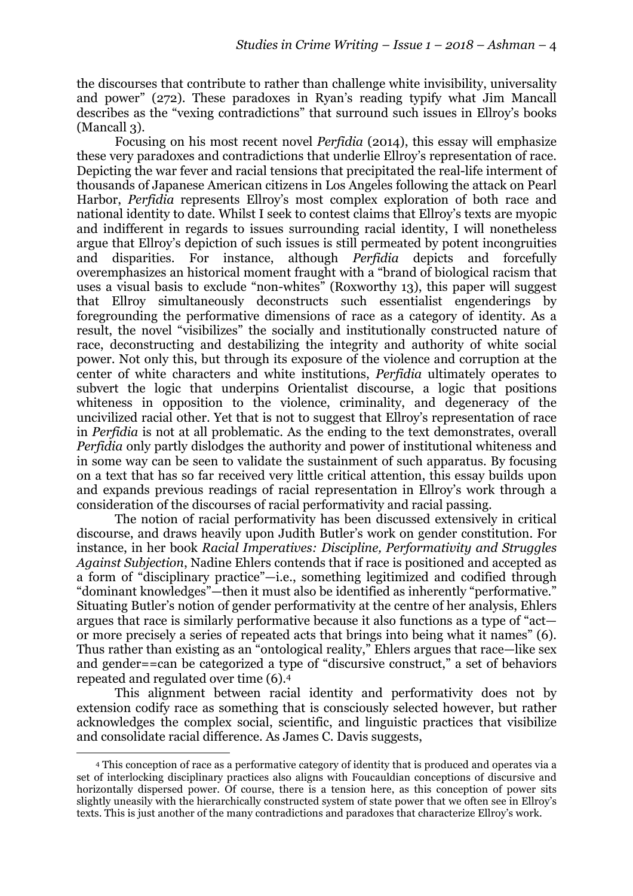the discourses that contribute to rather than challenge white invisibility, universality and power" (272). These paradoxes in Ryan's reading typify what Jim Mancall describes as the "vexing contradictions" that surround such issues in Ellroy's books (Mancall 3).

Focusing on his most recent novel *Perfidia* (2014), this essay will emphasize these very paradoxes and contradictions that underlie Ellroy's representation of race. Depicting the war fever and racial tensions that precipitated the real-life interment of thousands of Japanese American citizens in Los Angeles following the attack on Pearl Harbor, *Perfidia* represents Ellroy's most complex exploration of both race and national identity to date. Whilst I seek to contest claims that Ellroy's texts are myopic and indifferent in regards to issues surrounding racial identity, I will nonetheless argue that Ellroy's depiction of such issues is still permeated by potent incongruities and disparities. For instance, although *Perfidia* depicts and forcefully overemphasizes an historical moment fraught with a "brand of biological racism that uses a visual basis to exclude "non-whites" (Roxworthy 13), this paper will suggest that Ellroy simultaneously deconstructs such essentialist engenderings by foregrounding the performative dimensions of race as a category of identity. As a result, the novel "visibilizes" the socially and institutionally constructed nature of race, deconstructing and destabilizing the integrity and authority of white social power. Not only this, but through its exposure of the violence and corruption at the center of white characters and white institutions, *Perfidia* ultimately operates to subvert the logic that underpins Orientalist discourse, a logic that positions whiteness in opposition to the violence, criminality, and degeneracy of the uncivilized racial other. Yet that is not to suggest that Ellroy's representation of race in *Perfidia* is not at all problematic. As the ending to the text demonstrates, overall *Perfidia* only partly dislodges the authority and power of institutional whiteness and in some way can be seen to validate the sustainment of such apparatus. By focusing on a text that has so far received very little critical attention, this essay builds upon and expands previous readings of racial representation in Ellroy's work through a consideration of the discourses of racial performativity and racial passing.

The notion of racial performativity has been discussed extensively in critical discourse, and draws heavily upon Judith Butler's work on gender constitution. For instance, in her book *Racial Imperatives: Discipline, Performativity and Struggles Against Subjection*, Nadine Ehlers contends that if race is positioned and accepted as a form of "disciplinary practice"—i.e., something legitimized and codified through "dominant knowledges"—then it must also be identified as inherently "performative." Situating Butler's notion of gender performativity at the centre of her analysis, Ehlers argues that race is similarly performative because it also functions as a type of "act or more precisely a series of repeated acts that brings into being what it names" (6). Thus rather than existing as an "ontological reality," Ehlers argues that race—like sex and gender==can be categorized a type of "discursive construct," a set of behaviors repeated and regulated over time (6).4

This alignment between racial identity and performativity does not by extension codify race as something that is consciously selected however, but rather acknowledges the complex social, scientific, and linguistic practices that visibilize and consolidate racial difference. As James C. Davis suggests,

<u> 1989 - Johann Stein, fransk politik (d. 1989)</u>

<sup>4</sup> This conception of race as a performative category of identity that is produced and operates via a set of interlocking disciplinary practices also aligns with Foucauldian conceptions of discursive and horizontally dispersed power. Of course, there is a tension here, as this conception of power sits slightly uneasily with the hierarchically constructed system of state power that we often see in Ellroy's texts. This is just another of the many contradictions and paradoxes that characterize Ellroy's work.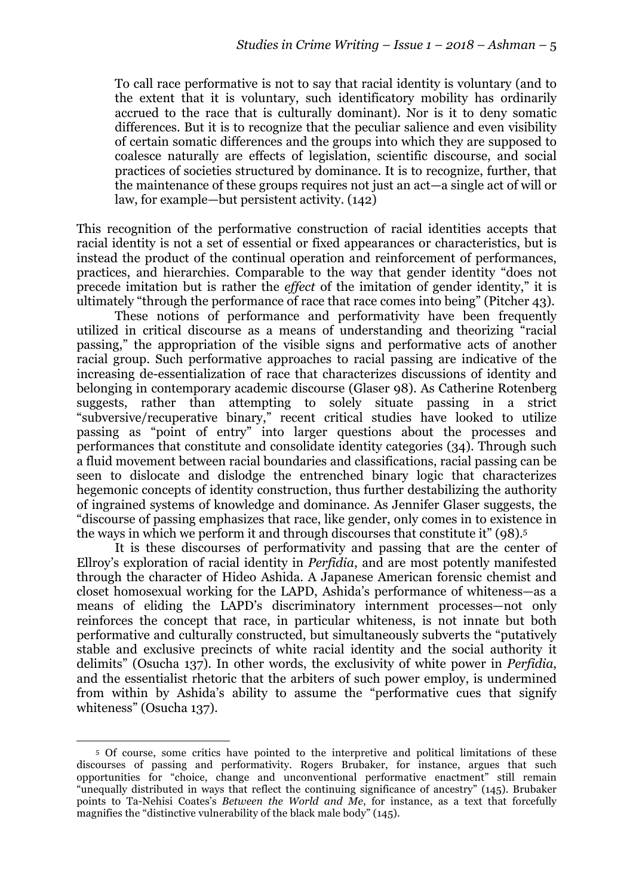To call race performative is not to say that racial identity is voluntary (and to the extent that it is voluntary, such identificatory mobility has ordinarily accrued to the race that is culturally dominant). Nor is it to deny somatic differences. But it is to recognize that the peculiar salience and even visibility of certain somatic differences and the groups into which they are supposed to coalesce naturally are effects of legislation, scientific discourse, and social practices of societies structured by dominance. It is to recognize, further, that the maintenance of these groups requires not just an act—a single act of will or law, for example—but persistent activity. (142)

This recognition of the performative construction of racial identities accepts that racial identity is not a set of essential or fixed appearances or characteristics, but is instead the product of the continual operation and reinforcement of performances, practices, and hierarchies. Comparable to the way that gender identity "does not precede imitation but is rather the *effect* of the imitation of gender identity," it is ultimately "through the performance of race that race comes into being" (Pitcher 43).

These notions of performance and performativity have been frequently utilized in critical discourse as a means of understanding and theorizing "racial passing," the appropriation of the visible signs and performative acts of another racial group. Such performative approaches to racial passing are indicative of the increasing de-essentialization of race that characterizes discussions of identity and belonging in contemporary academic discourse (Glaser 98). As Catherine Rotenberg suggests, rather than attempting to solely situate passing in a strict "subversive/recuperative binary," recent critical studies have looked to utilize passing as "point of entry" into larger questions about the processes and performances that constitute and consolidate identity categories (34). Through such a fluid movement between racial boundaries and classifications, racial passing can be seen to dislocate and dislodge the entrenched binary logic that characterizes hegemonic concepts of identity construction, thus further destabilizing the authority of ingrained systems of knowledge and dominance. As Jennifer Glaser suggests, the "discourse of passing emphasizes that race, like gender, only comes in to existence in the ways in which we perform it and through discourses that constitute it" (98).5

It is these discourses of performativity and passing that are the center of Ellroy's exploration of racial identity in *Perfidia*, and are most potently manifested through the character of Hideo Ashida. A Japanese American forensic chemist and closet homosexual working for the LAPD, Ashida's performance of whiteness—as a means of eliding the LAPD's discriminatory internment processes—not only reinforces the concept that race, in particular whiteness, is not innate but both performative and culturally constructed, but simultaneously subverts the "putatively stable and exclusive precincts of white racial identity and the social authority it delimits" (Osucha 137). In other words, the exclusivity of white power in *Perfidia*, and the essentialist rhetoric that the arbiters of such power employ, is undermined from within by Ashida's ability to assume the "performative cues that signify whiteness" (Osucha 137).

 5 Of course, some critics have pointed to the interpretive and political limitations of these discourses of passing and performativity. Rogers Brubaker, for instance, argues that such opportunities for "choice, change and unconventional performative enactment" still remain "unequally distributed in ways that reflect the continuing significance of ancestry" (145). Brubaker points to Ta-Nehisi Coates's *Between the World and Me*, for instance, as a text that forcefully magnifies the "distinctive vulnerability of the black male body" (145).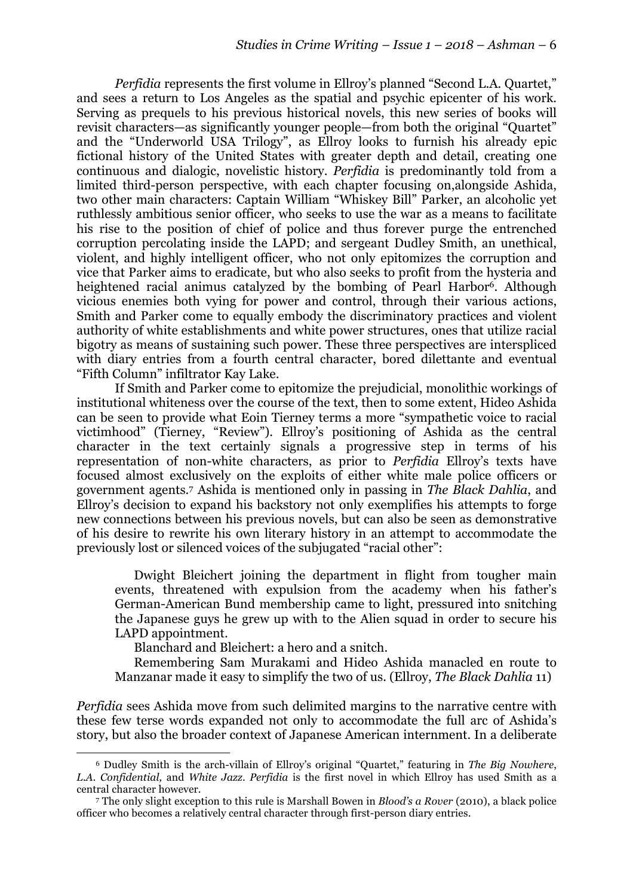*Perfidia* represents the first volume in Ellroy's planned "Second L.A. Quartet," and sees a return to Los Angeles as the spatial and psychic epicenter of his work. Serving as prequels to his previous historical novels, this new series of books will revisit characters—as significantly younger people—from both the original "Quartet" and the "Underworld USA Trilogy", as Ellroy looks to furnish his already epic fictional history of the United States with greater depth and detail, creating one continuous and dialogic, novelistic history. *Perfidia* is predominantly told from a limited third-person perspective, with each chapter focusing on,alongside Ashida, two other main characters: Captain William "Whiskey Bill" Parker, an alcoholic yet ruthlessly ambitious senior officer, who seeks to use the war as a means to facilitate his rise to the position of chief of police and thus forever purge the entrenched corruption percolating inside the LAPD; and sergeant Dudley Smith, an unethical, violent, and highly intelligent officer, who not only epitomizes the corruption and vice that Parker aims to eradicate, but who also seeks to profit from the hysteria and heightened racial animus catalyzed by the bombing of Pearl Harbor<sup>6</sup>. Although vicious enemies both vying for power and control, through their various actions, Smith and Parker come to equally embody the discriminatory practices and violent authority of white establishments and white power structures, ones that utilize racial bigotry as means of sustaining such power. These three perspectives are interspliced with diary entries from a fourth central character, bored dilettante and eventual "Fifth Column" infiltrator Kay Lake.

If Smith and Parker come to epitomize the prejudicial, monolithic workings of institutional whiteness over the course of the text, then to some extent, Hideo Ashida can be seen to provide what Eoin Tierney terms a more "sympathetic voice to racial victimhood" (Tierney, "Review"). Ellroy's positioning of Ashida as the central character in the text certainly signals a progressive step in terms of his representation of non-white characters, as prior to *Perfidia* Ellroy's texts have focused almost exclusively on the exploits of either white male police officers or government agents.7 Ashida is mentioned only in passing in *The Black Dahlia*, and Ellroy's decision to expand his backstory not only exemplifies his attempts to forge new connections between his previous novels, but can also be seen as demonstrative of his desire to rewrite his own literary history in an attempt to accommodate the previously lost or silenced voices of the subjugated "racial other":

Dwight Bleichert joining the department in flight from tougher main events, threatened with expulsion from the academy when his father's German-American Bund membership came to light, pressured into snitching the Japanese guys he grew up with to the Alien squad in order to secure his LAPD appointment.

Blanchard and Bleichert: a hero and a snitch.

<u> 1989 - Johann Stein, fransk politik (d. 1989)</u>

Remembering Sam Murakami and Hideo Ashida manacled en route to Manzanar made it easy to simplify the two of us. (Ellroy, *The Black Dahlia* 11)

*Perfidia* sees Ashida move from such delimited margins to the narrative centre with these few terse words expanded not only to accommodate the full arc of Ashida's story, but also the broader context of Japanese American internment. In a deliberate

<sup>6</sup> Dudley Smith is the arch-villain of Ellroy's original "Quartet," featuring in *The Big Nowhere*, *L.A. Confidential,* and *White Jazz*. *Perfidia* is the first novel in which Ellroy has used Smith as a central character however.

<sup>7</sup> The only slight exception to this rule is Marshall Bowen in *Blood's a Rover* (2010), a black police officer who becomes a relatively central character through first-person diary entries.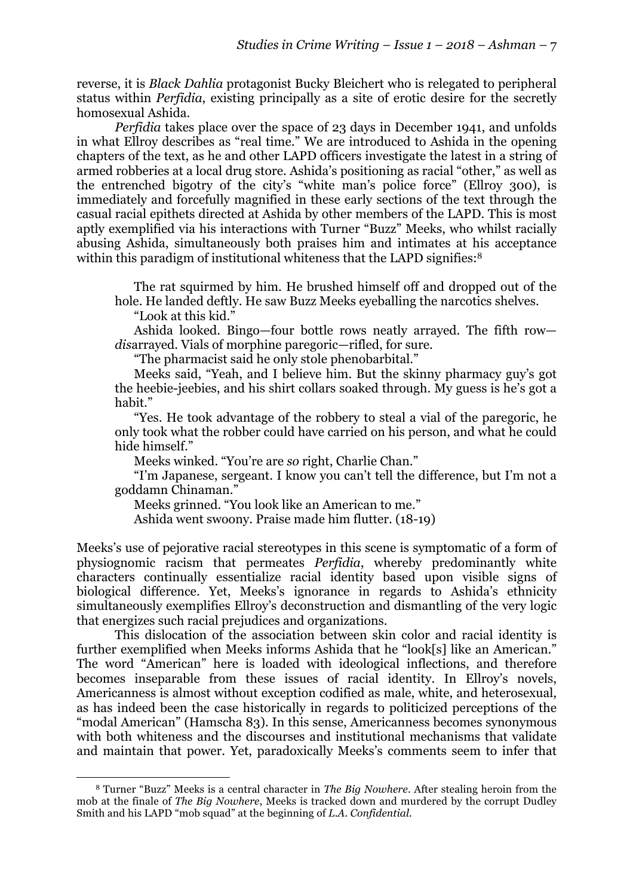reverse, it is *Black Dahlia* protagonist Bucky Bleichert who is relegated to peripheral status within *Perfidia*, existing principally as a site of erotic desire for the secretly homosexual Ashida.

*Perfidia* takes place over the space of 23 days in December 1941, and unfolds in what Ellroy describes as "real time." We are introduced to Ashida in the opening chapters of the text, as he and other LAPD officers investigate the latest in a string of armed robberies at a local drug store. Ashida's positioning as racial "other," as well as the entrenched bigotry of the city's "white man's police force" (Ellroy 300), is immediately and forcefully magnified in these early sections of the text through the casual racial epithets directed at Ashida by other members of the LAPD. This is most aptly exemplified via his interactions with Turner "Buzz" Meeks, who whilst racially abusing Ashida, simultaneously both praises him and intimates at his acceptance within this paradigm of institutional whiteness that the LAPD signifies:<sup>8</sup>

The rat squirmed by him. He brushed himself off and dropped out of the hole. He landed deftly. He saw Buzz Meeks eyeballing the narcotics shelves.

"Look at this kid."

 

Ashida looked. Bingo—four bottle rows neatly arrayed. The fifth row *dis*arrayed. Vials of morphine paregoric—rifled, for sure.

"The pharmacist said he only stole phenobarbital."

Meeks said, "Yeah, and I believe him. But the skinny pharmacy guy's got the heebie-jeebies, and his shirt collars soaked through. My guess is he's got a habit."

"Yes. He took advantage of the robbery to steal a vial of the paregoric, he only took what the robber could have carried on his person, and what he could hide himself."

Meeks winked. "You're are *so* right, Charlie Chan."

"I'm Japanese, sergeant. I know you can't tell the difference, but I'm not a goddamn Chinaman."

Meeks grinned. "You look like an American to me."

Ashida went swoony. Praise made him flutter. (18-19)

Meeks's use of pejorative racial stereotypes in this scene is symptomatic of a form of physiognomic racism that permeates *Perfidia*, whereby predominantly white characters continually essentialize racial identity based upon visible signs of biological difference. Yet, Meeks's ignorance in regards to Ashida's ethnicity simultaneously exemplifies Ellroy's deconstruction and dismantling of the very logic that energizes such racial prejudices and organizations.

This dislocation of the association between skin color and racial identity is further exemplified when Meeks informs Ashida that he "look[s] like an American." The word "American" here is loaded with ideological inflections, and therefore becomes inseparable from these issues of racial identity. In Ellroy's novels, Americanness is almost without exception codified as male, white, and heterosexual, as has indeed been the case historically in regards to politicized perceptions of the "modal American" (Hamscha 83). In this sense, Americanness becomes synonymous with both whiteness and the discourses and institutional mechanisms that validate and maintain that power. Yet, paradoxically Meeks's comments seem to infer that

<sup>8</sup> Turner "Buzz" Meeks is a central character in *The Big Nowhere*. After stealing heroin from the mob at the finale of *The Big Nowhere*, Meeks is tracked down and murdered by the corrupt Dudley Smith and his LAPD "mob squad" at the beginning of *L.A. Confidential*.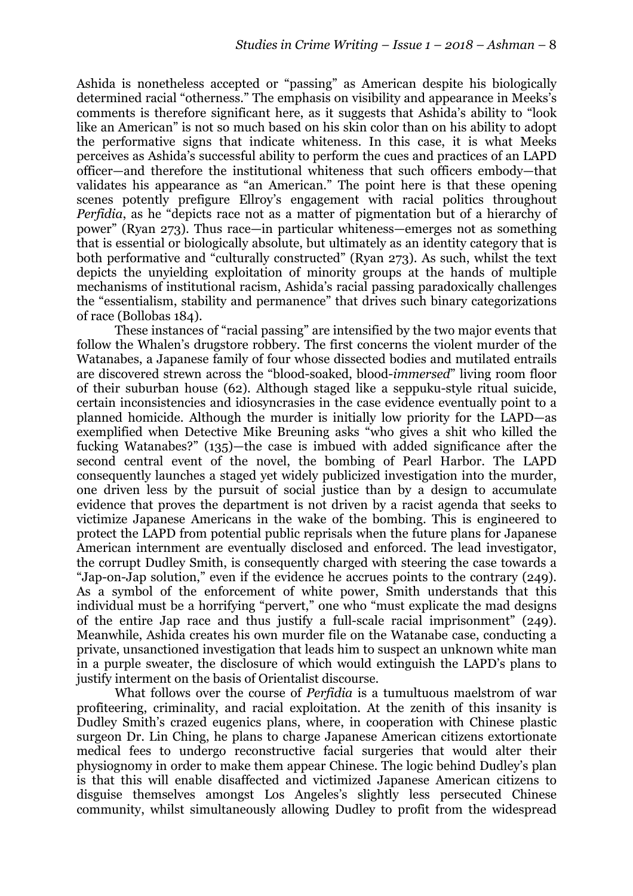Ashida is nonetheless accepted or "passing" as American despite his biologically determined racial "otherness." The emphasis on visibility and appearance in Meeks's comments is therefore significant here, as it suggests that Ashida's ability to "look like an American" is not so much based on his skin color than on his ability to adopt the performative signs that indicate whiteness. In this case, it is what Meeks perceives as Ashida's successful ability to perform the cues and practices of an LAPD officer—and therefore the institutional whiteness that such officers embody—that validates his appearance as "an American." The point here is that these opening scenes potently prefigure Ellroy's engagement with racial politics throughout *Perfidia*, as he "depicts race not as a matter of pigmentation but of a hierarchy of power" (Ryan 273). Thus race—in particular whiteness—emerges not as something that is essential or biologically absolute, but ultimately as an identity category that is both performative and "culturally constructed" (Ryan 273). As such, whilst the text depicts the unyielding exploitation of minority groups at the hands of multiple mechanisms of institutional racism, Ashida's racial passing paradoxically challenges the "essentialism, stability and permanence" that drives such binary categorizations of race (Bollobas 184).

These instances of "racial passing" are intensified by the two major events that follow the Whalen's drugstore robbery. The first concerns the violent murder of the Watanabes, a Japanese family of four whose dissected bodies and mutilated entrails are discovered strewn across the "blood-soaked, blood-*immersed*" living room floor of their suburban house (62). Although staged like a seppuku-style ritual suicide, certain inconsistencies and idiosyncrasies in the case evidence eventually point to a planned homicide. Although the murder is initially low priority for the LAPD—as exemplified when Detective Mike Breuning asks "who gives a shit who killed the fucking Watanabes?" (135)—the case is imbued with added significance after the second central event of the novel, the bombing of Pearl Harbor. The LAPD consequently launches a staged yet widely publicized investigation into the murder, one driven less by the pursuit of social justice than by a design to accumulate evidence that proves the department is not driven by a racist agenda that seeks to victimize Japanese Americans in the wake of the bombing. This is engineered to protect the LAPD from potential public reprisals when the future plans for Japanese American internment are eventually disclosed and enforced. The lead investigator, the corrupt Dudley Smith, is consequently charged with steering the case towards a "Jap-on-Jap solution," even if the evidence he accrues points to the contrary (249). As a symbol of the enforcement of white power, Smith understands that this individual must be a horrifying "pervert," one who "must explicate the mad designs of the entire Jap race and thus justify a full-scale racial imprisonment" (249). Meanwhile, Ashida creates his own murder file on the Watanabe case, conducting a private, unsanctioned investigation that leads him to suspect an unknown white man in a purple sweater, the disclosure of which would extinguish the LAPD's plans to justify interment on the basis of Orientalist discourse.

What follows over the course of *Perfidia* is a tumultuous maelstrom of war profiteering, criminality, and racial exploitation. At the zenith of this insanity is Dudley Smith's crazed eugenics plans, where, in cooperation with Chinese plastic surgeon Dr. Lin Ching, he plans to charge Japanese American citizens extortionate medical fees to undergo reconstructive facial surgeries that would alter their physiognomy in order to make them appear Chinese. The logic behind Dudley's plan is that this will enable disaffected and victimized Japanese American citizens to disguise themselves amongst Los Angeles's slightly less persecuted Chinese community, whilst simultaneously allowing Dudley to profit from the widespread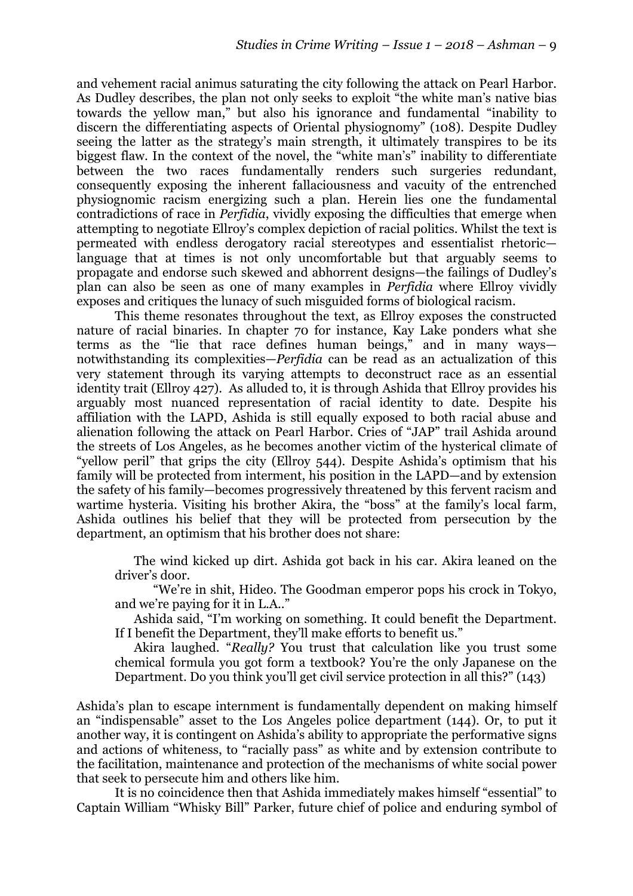and vehement racial animus saturating the city following the attack on Pearl Harbor. As Dudley describes, the plan not only seeks to exploit "the white man's native bias towards the yellow man," but also his ignorance and fundamental "inability to discern the differentiating aspects of Oriental physiognomy" (108). Despite Dudley seeing the latter as the strategy's main strength, it ultimately transpires to be its biggest flaw. In the context of the novel, the "white man's" inability to differentiate between the two races fundamentally renders such surgeries redundant, consequently exposing the inherent fallaciousness and vacuity of the entrenched physiognomic racism energizing such a plan. Herein lies one the fundamental contradictions of race in *Perfidia*, vividly exposing the difficulties that emerge when attempting to negotiate Ellroy's complex depiction of racial politics. Whilst the text is permeated with endless derogatory racial stereotypes and essentialist rhetoric language that at times is not only uncomfortable but that arguably seems to propagate and endorse such skewed and abhorrent designs—the failings of Dudley's plan can also be seen as one of many examples in *Perfidia* where Ellroy vividly exposes and critiques the lunacy of such misguided forms of biological racism.

This theme resonates throughout the text, as Ellroy exposes the constructed nature of racial binaries. In chapter 70 for instance, Kay Lake ponders what she terms as the "lie that race defines human beings," and in many ways notwithstanding its complexities—*Perfidia* can be read as an actualization of this very statement through its varying attempts to deconstruct race as an essential identity trait (Ellroy 427). As alluded to, it is through Ashida that Ellroy provides his arguably most nuanced representation of racial identity to date. Despite his affiliation with the LAPD, Ashida is still equally exposed to both racial abuse and alienation following the attack on Pearl Harbor. Cries of "JAP" trail Ashida around the streets of Los Angeles, as he becomes another victim of the hysterical climate of "yellow peril" that grips the city (Ellroy 544). Despite Ashida's optimism that his family will be protected from interment, his position in the LAPD—and by extension the safety of his family—becomes progressively threatened by this fervent racism and wartime hysteria. Visiting his brother Akira, the "boss" at the family's local farm, Ashida outlines his belief that they will be protected from persecution by the department, an optimism that his brother does not share:

The wind kicked up dirt. Ashida got back in his car. Akira leaned on the driver's door.

"We're in shit, Hideo. The Goodman emperor pops his crock in Tokyo, and we're paying for it in L.A.."

Ashida said, "I'm working on something. It could benefit the Department. If I benefit the Department, they'll make efforts to benefit us."

Akira laughed. "*Really?* You trust that calculation like you trust some chemical formula you got form a textbook? You're the only Japanese on the Department. Do you think you'll get civil service protection in all this?" (143)

Ashida's plan to escape internment is fundamentally dependent on making himself an "indispensable" asset to the Los Angeles police department (144). Or, to put it another way, it is contingent on Ashida's ability to appropriate the performative signs and actions of whiteness, to "racially pass" as white and by extension contribute to the facilitation, maintenance and protection of the mechanisms of white social power that seek to persecute him and others like him.

It is no coincidence then that Ashida immediately makes himself "essential" to Captain William "Whisky Bill" Parker, future chief of police and enduring symbol of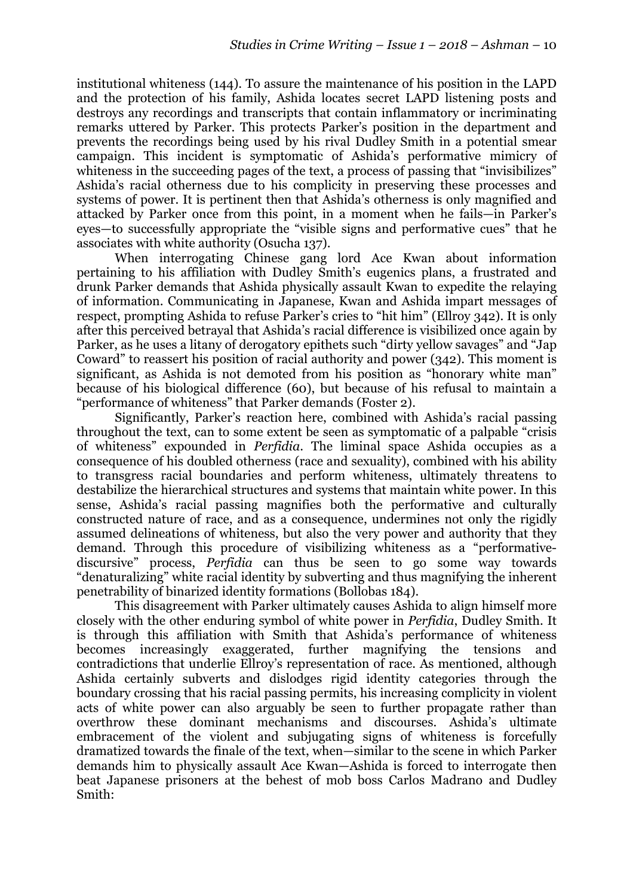institutional whiteness (144). To assure the maintenance of his position in the LAPD and the protection of his family, Ashida locates secret LAPD listening posts and destroys any recordings and transcripts that contain inflammatory or incriminating remarks uttered by Parker. This protects Parker's position in the department and prevents the recordings being used by his rival Dudley Smith in a potential smear campaign. This incident is symptomatic of Ashida's performative mimicry of whiteness in the succeeding pages of the text, a process of passing that "invisibilizes" Ashida's racial otherness due to his complicity in preserving these processes and systems of power. It is pertinent then that Ashida's otherness is only magnified and attacked by Parker once from this point, in a moment when he fails—in Parker's eyes—to successfully appropriate the "visible signs and performative cues" that he associates with white authority (Osucha 137).

When interrogating Chinese gang lord Ace Kwan about information pertaining to his affiliation with Dudley Smith's eugenics plans, a frustrated and drunk Parker demands that Ashida physically assault Kwan to expedite the relaying of information. Communicating in Japanese, Kwan and Ashida impart messages of respect, prompting Ashida to refuse Parker's cries to "hit him" (Ellroy 342). It is only after this perceived betrayal that Ashida's racial difference is visibilized once again by Parker, as he uses a litany of derogatory epithets such "dirty yellow savages" and "Jap Coward" to reassert his position of racial authority and power (342). This moment is significant, as Ashida is not demoted from his position as "honorary white man" because of his biological difference (60), but because of his refusal to maintain a "performance of whiteness" that Parker demands (Foster 2).

Significantly, Parker's reaction here, combined with Ashida's racial passing throughout the text, can to some extent be seen as symptomatic of a palpable "crisis of whiteness" expounded in *Perfidia*. The liminal space Ashida occupies as a consequence of his doubled otherness (race and sexuality), combined with his ability to transgress racial boundaries and perform whiteness, ultimately threatens to destabilize the hierarchical structures and systems that maintain white power. In this sense, Ashida's racial passing magnifies both the performative and culturally constructed nature of race, and as a consequence, undermines not only the rigidly assumed delineations of whiteness, but also the very power and authority that they demand. Through this procedure of visibilizing whiteness as a "performativediscursive" process, *Perfidia* can thus be seen to go some way towards "denaturalizing" white racial identity by subverting and thus magnifying the inherent penetrability of binarized identity formations (Bollobas 184).

This disagreement with Parker ultimately causes Ashida to align himself more closely with the other enduring symbol of white power in *Perfidia*, Dudley Smith. It is through this affiliation with Smith that Ashida's performance of whiteness becomes increasingly exaggerated, further magnifying the tensions and contradictions that underlie Ellroy's representation of race. As mentioned, although Ashida certainly subverts and dislodges rigid identity categories through the boundary crossing that his racial passing permits, his increasing complicity in violent acts of white power can also arguably be seen to further propagate rather than overthrow these dominant mechanisms and discourses. Ashida's ultimate embracement of the violent and subjugating signs of whiteness is forcefully dramatized towards the finale of the text, when—similar to the scene in which Parker demands him to physically assault Ace Kwan—Ashida is forced to interrogate then beat Japanese prisoners at the behest of mob boss Carlos Madrano and Dudley Smith: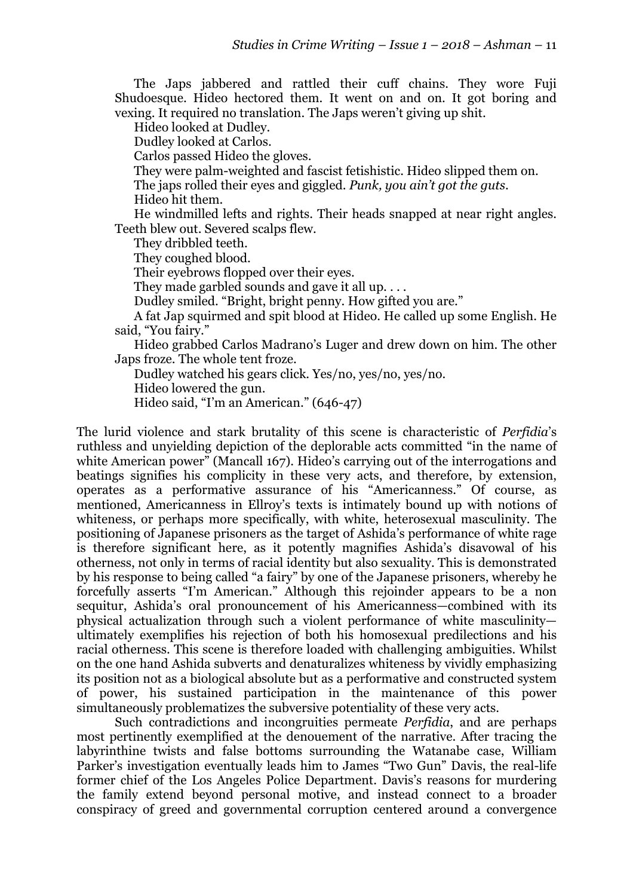The Japs jabbered and rattled their cuff chains. They wore Fuji Shudoesque. Hideo hectored them. It went on and on. It got boring and vexing. It required no translation. The Japs weren't giving up shit.

Hideo looked at Dudley.

Dudley looked at Carlos.

Carlos passed Hideo the gloves.

They were palm-weighted and fascist fetishistic. Hideo slipped them on.

The japs rolled their eyes and giggled. *Punk, you ain't got the guts*.

Hideo hit them.

He windmilled lefts and rights. Their heads snapped at near right angles. Teeth blew out. Severed scalps flew.

They dribbled teeth.

They coughed blood.

Their eyebrows flopped over their eyes.

They made garbled sounds and gave it all up. . . .

Dudley smiled. "Bright, bright penny. How gifted you are."

A fat Jap squirmed and spit blood at Hideo. He called up some English. He said, "You fairy."

Hideo grabbed Carlos Madrano's Luger and drew down on him. The other Japs froze. The whole tent froze.

Dudley watched his gears click. Yes/no, yes/no, yes/no.

Hideo lowered the gun.

Hideo said, "I'm an American." (646-47)

The lurid violence and stark brutality of this scene is characteristic of *Perfidia*'s ruthless and unyielding depiction of the deplorable acts committed "in the name of white American power" (Mancall 167). Hideo's carrying out of the interrogations and beatings signifies his complicity in these very acts, and therefore, by extension, operates as a performative assurance of his "Americanness." Of course, as mentioned, Americanness in Ellroy's texts is intimately bound up with notions of whiteness, or perhaps more specifically, with white, heterosexual masculinity. The positioning of Japanese prisoners as the target of Ashida's performance of white rage is therefore significant here, as it potently magnifies Ashida's disavowal of his otherness, not only in terms of racial identity but also sexuality. This is demonstrated by his response to being called "a fairy" by one of the Japanese prisoners, whereby he forcefully asserts "I'm American." Although this rejoinder appears to be a non sequitur, Ashida's oral pronouncement of his Americanness—combined with its physical actualization through such a violent performance of white masculinity ultimately exemplifies his rejection of both his homosexual predilections and his racial otherness. This scene is therefore loaded with challenging ambiguities. Whilst on the one hand Ashida subverts and denaturalizes whiteness by vividly emphasizing its position not as a biological absolute but as a performative and constructed system of power, his sustained participation in the maintenance of this power simultaneously problematizes the subversive potentiality of these very acts.

Such contradictions and incongruities permeate *Perfidia*, and are perhaps most pertinently exemplified at the denouement of the narrative. After tracing the labyrinthine twists and false bottoms surrounding the Watanabe case, William Parker's investigation eventually leads him to James "Two Gun" Davis, the real-life former chief of the Los Angeles Police Department. Davis's reasons for murdering the family extend beyond personal motive, and instead connect to a broader conspiracy of greed and governmental corruption centered around a convergence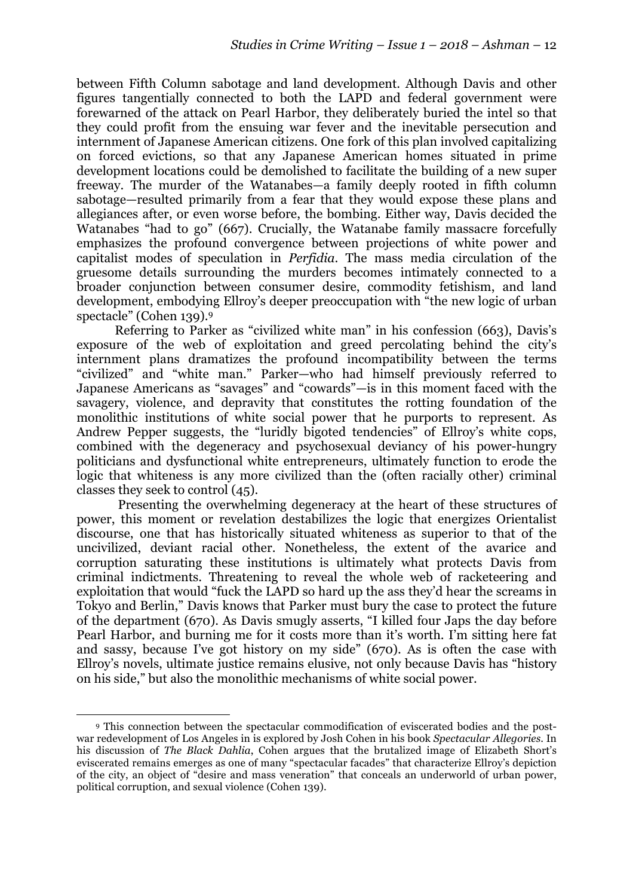between Fifth Column sabotage and land development. Although Davis and other figures tangentially connected to both the LAPD and federal government were forewarned of the attack on Pearl Harbor, they deliberately buried the intel so that they could profit from the ensuing war fever and the inevitable persecution and internment of Japanese American citizens. One fork of this plan involved capitalizing on forced evictions, so that any Japanese American homes situated in prime development locations could be demolished to facilitate the building of a new super freeway. The murder of the Watanabes—a family deeply rooted in fifth column sabotage—resulted primarily from a fear that they would expose these plans and allegiances after, or even worse before, the bombing. Either way, Davis decided the Watanabes "had to go" (667). Crucially, the Watanabe family massacre forcefully emphasizes the profound convergence between projections of white power and capitalist modes of speculation in *Perfidia*. The mass media circulation of the gruesome details surrounding the murders becomes intimately connected to a broader conjunction between consumer desire, commodity fetishism, and land development, embodying Ellroy's deeper preoccupation with "the new logic of urban spectacle" (Cohen 139).9

Referring to Parker as "civilized white man" in his confession (663), Davis's exposure of the web of exploitation and greed percolating behind the city's internment plans dramatizes the profound incompatibility between the terms "civilized" and "white man." Parker—who had himself previously referred to Japanese Americans as "savages" and "cowards"—is in this moment faced with the savagery, violence, and depravity that constitutes the rotting foundation of the monolithic institutions of white social power that he purports to represent. As Andrew Pepper suggests, the "luridly bigoted tendencies" of Ellroy's white cops, combined with the degeneracy and psychosexual deviancy of his power-hungry politicians and dysfunctional white entrepreneurs, ultimately function to erode the logic that whiteness is any more civilized than the (often racially other) criminal classes they seek to control (45).

 Presenting the overwhelming degeneracy at the heart of these structures of power, this moment or revelation destabilizes the logic that energizes Orientalist discourse, one that has historically situated whiteness as superior to that of the uncivilized, deviant racial other. Nonetheless, the extent of the avarice and corruption saturating these institutions is ultimately what protects Davis from criminal indictments. Threatening to reveal the whole web of racketeering and exploitation that would "fuck the LAPD so hard up the ass they'd hear the screams in Tokyo and Berlin," Davis knows that Parker must bury the case to protect the future of the department (670). As Davis smugly asserts, "I killed four Japs the day before Pearl Harbor, and burning me for it costs more than it's worth. I'm sitting here fat and sassy, because I've got history on my side" (670). As is often the case with Ellroy's novels, ultimate justice remains elusive, not only because Davis has "history on his side," but also the monolithic mechanisms of white social power.

<u> 1989 - Johann Stein, fransk politik (d. 1989)</u>

<sup>9</sup> This connection between the spectacular commodification of eviscerated bodies and the postwar redevelopment of Los Angeles in is explored by Josh Cohen in his book *Spectacular Allegories*. In his discussion of *The Black Dahlia*, Cohen argues that the brutalized image of Elizabeth Short's eviscerated remains emerges as one of many "spectacular facades" that characterize Ellroy's depiction of the city, an object of "desire and mass veneration" that conceals an underworld of urban power, political corruption, and sexual violence (Cohen 139).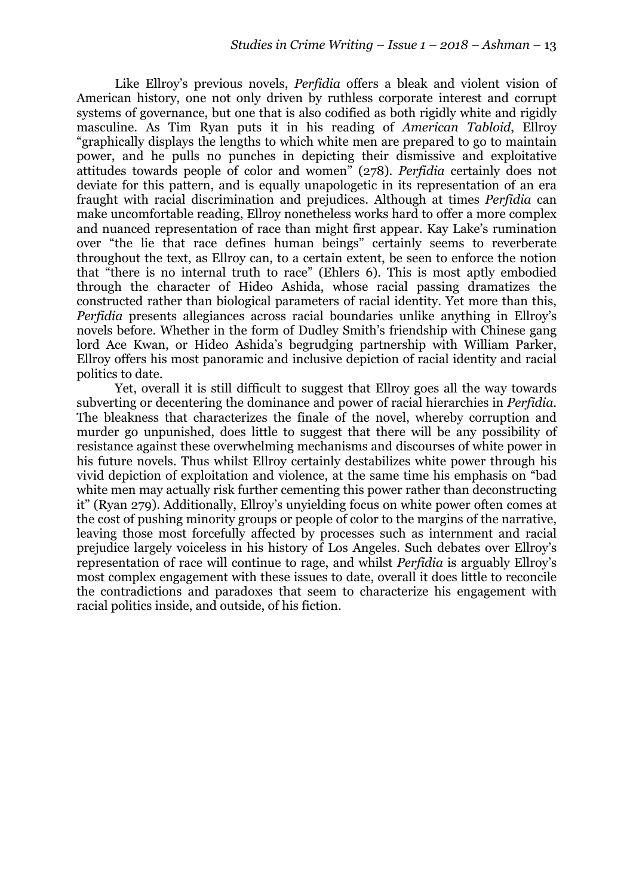Like Ellroy's previous novels, *Perfidia* offers a bleak and violent vision of American history, one not only driven by ruthless corporate interest and corrupt systems of governance, but one that is also codified as both rigidly white and rigidly masculine. As Tim Ryan puts it in his reading of *American Tabloid*, Ellroy "graphically displays the lengths to which white men are prepared to go to maintain power, and he pulls no punches in depicting their dismissive and exploitative attitudes towards people of color and women" (278). *Perfidia* certainly does not deviate for this pattern, and is equally unapologetic in its representation of an era fraught with racial discrimination and prejudices. Although at times *Perfidia* can make uncomfortable reading, Ellroy nonetheless works hard to offer a more complex and nuanced representation of race than might first appear. Kay Lake's rumination over "the lie that race defines human beings" certainly seems to reverberate throughout the text, as Ellroy can, to a certain extent, be seen to enforce the notion that "there is no internal truth to race" (Ehlers 6). This is most aptly embodied through the character of Hideo Ashida, whose racial passing dramatizes the constructed rather than biological parameters of racial identity. Yet more than this, *Perfidia* presents allegiances across racial boundaries unlike anything in Ellroy's novels before. Whether in the form of Dudley Smith's friendship with Chinese gang lord Ace Kwan, or Hideo Ashida's begrudging partnership with William Parker, Ellroy offers his most panoramic and inclusive depiction of racial identity and racial politics to date.

Yet, overall it is still difficult to suggest that Ellroy goes all the way towards subverting or decentering the dominance and power of racial hierarchies in *Perfidia*. The bleakness that characterizes the finale of the novel, whereby corruption and murder go unpunished, does little to suggest that there will be any possibility of resistance against these overwhelming mechanisms and discourses of white power in his future novels. Thus whilst Ellroy certainly destabilizes white power through his vivid depiction of exploitation and violence, at the same time his emphasis on "bad white men may actually risk further cementing this power rather than deconstructing it" (Ryan 279). Additionally, Ellroy's unyielding focus on white power often comes at the cost of pushing minority groups or people of color to the margins of the narrative, leaving those most forcefully affected by processes such as internment and racial prejudice largely voiceless in his history of Los Angeles. Such debates over Ellroy's representation of race will continue to rage, and whilst *Perfidia* is arguably Ellroy's most complex engagement with these issues to date, overall it does little to reconcile the contradictions and paradoxes that seem to characterize his engagement with racial politics inside, and outside, of his fiction.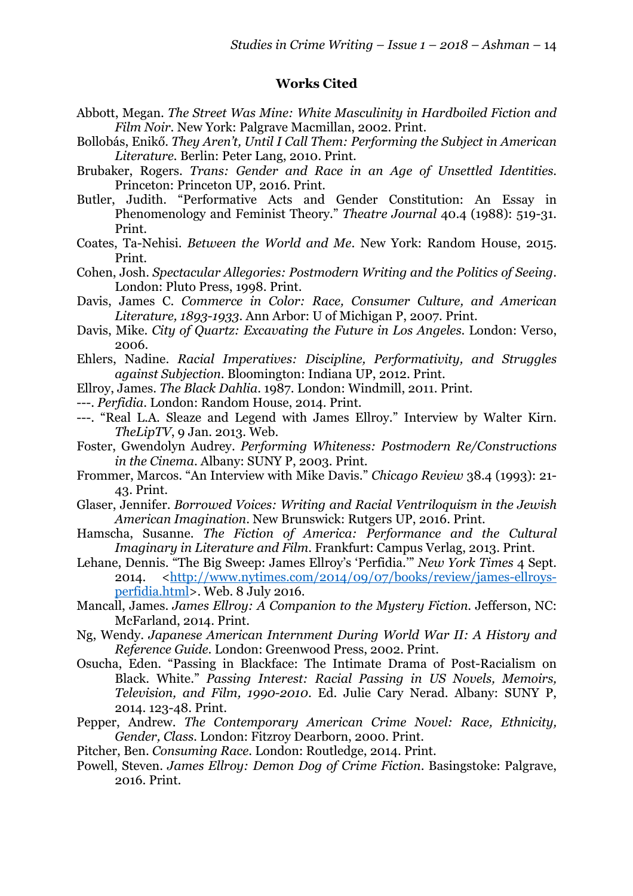## **Works Cited**

- Abbott, Megan. *The Street Was Mine: White Masculinity in Hardboiled Fiction and Film Noir*. New York: Palgrave Macmillan, 2002. Print.
- Bollobás, Enikő. *They Aren't, Until I Call Them: Performing the Subject in American Literature.* Berlin: Peter Lang, 2010. Print.
- Brubaker, Rogers. *Trans: Gender and Race in an Age of Unsettled Identities*. Princeton: Princeton UP, 2016. Print.
- Butler, Judith. "Performative Acts and Gender Constitution: An Essay in Phenomenology and Feminist Theory." *Theatre Journal* 40.4 (1988): 519-31. Print.
- Coates, Ta-Nehisi. *Between the World and Me*. New York: Random House, 2015. Print.
- Cohen, Josh. *Spectacular Allegories: Postmodern Writing and the Politics of Seeing*. London: Pluto Press, 1998. Print.
- Davis, James C. *Commerce in Color: Race, Consumer Culture, and American Literature, 1893-1933*. Ann Arbor: U of Michigan P, 2007. Print.
- Davis, Mike. *City of Quartz: Excavating the Future in Los Angeles*. London: Verso, 2006.
- Ehlers, Nadine. *Racial Imperatives: Discipline, Performativity, and Struggles against Subjection*. Bloomington: Indiana UP, 2012. Print.
- Ellroy, James. *The Black Dahlia*. 1987. London: Windmill, 2011. Print.
- ---. *Perfidia*. London: Random House, 2014. Print.
- ---. "Real L.A. Sleaze and Legend with James Ellroy." Interview by Walter Kirn. *TheLipTV*, 9 Jan. 2013. Web.
- Foster, Gwendolyn Audrey. *Performing Whiteness: Postmodern Re/Constructions in the Cinema*. Albany: SUNY P, 2003. Print.
- Frommer, Marcos. "An Interview with Mike Davis." *Chicago Review* 38.4 (1993): 21- 43. Print.
- Glaser, Jennifer. *Borrowed Voices: Writing and Racial Ventriloquism in the Jewish American Imagination*. New Brunswick: Rutgers UP, 2016. Print.
- Hamscha, Susanne. *The Fiction of America: Performance and the Cultural Imaginary in Literature and Film*. Frankfurt: Campus Verlag, 2013. Print.
- Lehane, Dennis. "The Big Sweep: James Ellroy's 'Perfidia.'" *New York Times* 4 Sept. 2014. <http://www.nytimes.com/2014/09/07/books/review/james-ellroysperfidia.html>. Web. 8 July 2016.
- Mancall, James. *James Ellroy: A Companion to the Mystery Fiction*. Jefferson, NC: McFarland, 2014. Print.
- Ng, Wendy. *Japanese American Internment During World War II: A History and Reference Guide*. London: Greenwood Press, 2002. Print.
- Osucha, Eden. "Passing in Blackface: The Intimate Drama of Post-Racialism on Black. White." *Passing Interest: Racial Passing in US Novels, Memoirs, Television, and Film, 1990-2010*. Ed. Julie Cary Nerad. Albany: SUNY P, 2014. 123-48. Print.
- Pepper, Andrew. *The Contemporary American Crime Novel: Race, Ethnicity, Gender, Class.* London: Fitzroy Dearborn, 2000. Print.
- Pitcher, Ben. *Consuming Race*. London: Routledge, 2014. Print.
- Powell, Steven. *James Ellroy: Demon Dog of Crime Fiction*. Basingstoke: Palgrave, 2016. Print.